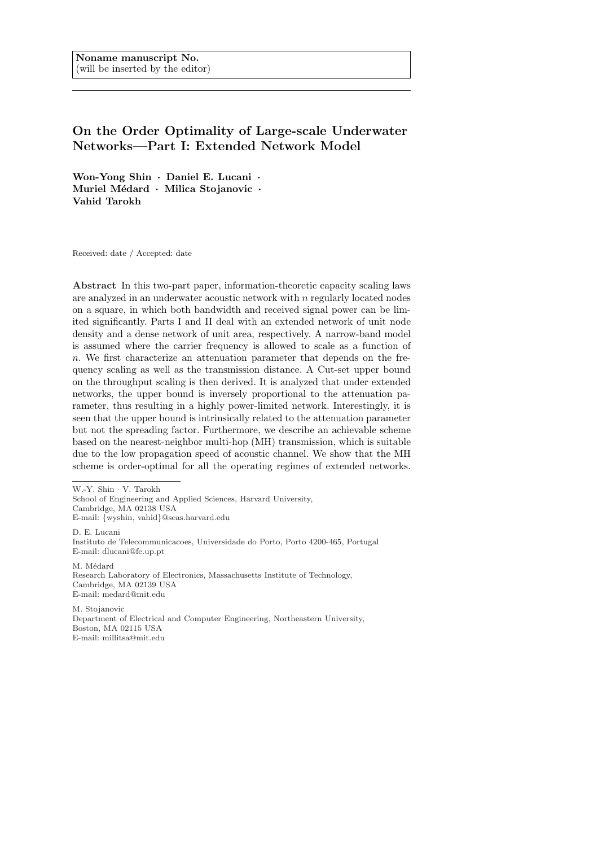# On the Order Optimality of Large-scale Underwater Networks—Part I: Extended Network Model

Won-Yong Shin · Daniel E. Lucani · Muriel Médard · Milica Stojanovic · Vahid Tarokh

Received: date / Accepted: date

Abstract In this two-part paper, information-theoretic capacity scaling laws are analyzed in an underwater acoustic network with  $n$  regularly located nodes on a square, in which both bandwidth and received signal power can be limited significantly. Parts I and II deal with an extended network of unit node density and a dense network of unit area, respectively. A narrow-band model is assumed where the carrier frequency is allowed to scale as a function of n. We first characterize an attenuation parameter that depends on the frequency scaling as well as the transmission distance. A Cut-set upper bound on the throughput scaling is then derived. It is analyzed that under extended networks, the upper bound is inversely proportional to the attenuation parameter, thus resulting in a highly power-limited network. Interestingly, it is seen that the upper bound is intrinsically related to the attenuation parameter but not the spreading factor. Furthermore, we describe an achievable scheme based on the nearest-neighbor multi-hop (MH) transmission, which is suitable due to the low propagation speed of acoustic channel. We show that the MH scheme is order-optimal for all the operating regimes of extended networks.

W.-Y. Shin · V. Tarokh

School of Engineering and Applied Sciences, Harvard University, Cambridge, MA 02138 USA E-mail: {wyshin, vahid}@seas.harvard.edu D. E. Lucani Instituto de Telecommunicacoes, Universidade do Porto, Porto 4200-465, Portugal E-mail: dlucani@fe.up.pt

M. Médard Research Laboratory of Electronics, Massachusetts Institute of Technology, Cambridge, MA 02139 USA E-mail: medard@mit.edu

M. Stojanovic Department of Electrical and Computer Engineering, Northeastern University, Boston, MA 02115 USA E-mail: millitsa@mit.edu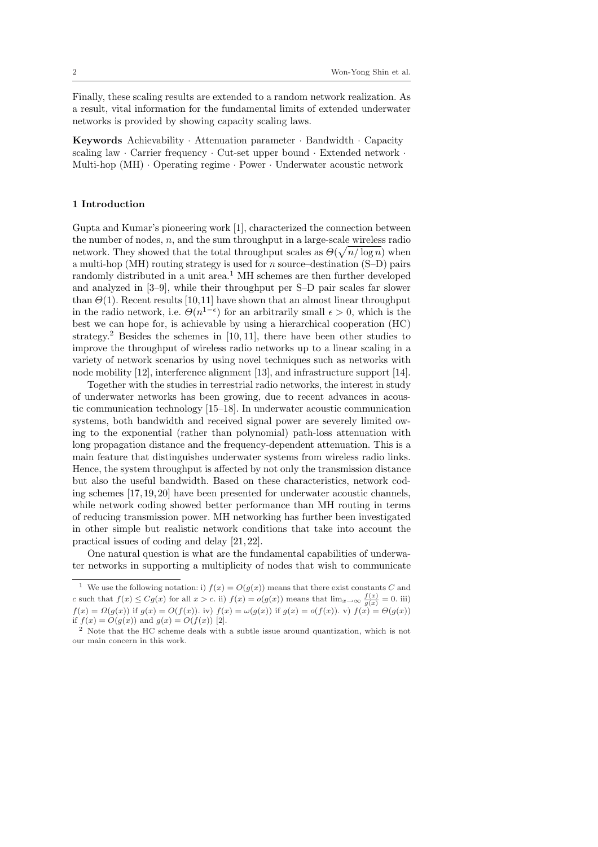Finally, these scaling results are extended to a random network realization. As a result, vital information for the fundamental limits of extended underwater networks is provided by showing capacity scaling laws.

**Keywords** Achievability  $\cdot$  Attenuation parameter  $\cdot$  Bandwidth  $\cdot$  Capacity scaling law · Carrier frequency · Cut-set upper bound · Extended network · Multi-hop (MH) · Operating regime · Power · Underwater acoustic network

## 1 Introduction

Gupta and Kumar's pioneering work [1], characterized the connection between the number of nodes,  $n$ , and the sum throughput in a large-scale wireless radio network. They showed that the total throughput scales as  $\Theta(\sqrt{n/\log n})$  when a multi-hop (MH) routing strategy is used for  $n$  source–destination (S–D) pairs randomly distributed in a unit area.<sup>1</sup> MH schemes are then further developed and analyzed in [3–9], while their throughput per S–D pair scales far slower than  $\Theta(1)$ . Recent results [10,11] have shown that an almost linear throughput in the radio network, i.e.  $\Theta(n^{1-\epsilon})$  for an arbitrarily small  $\epsilon > 0$ , which is the best we can hope for, is achievable by using a hierarchical cooperation (HC) strategy.<sup>2</sup> Besides the schemes in  $[10, 11]$ , there have been other studies to improve the throughput of wireless radio networks up to a linear scaling in a variety of network scenarios by using novel techniques such as networks with node mobility [12], interference alignment [13], and infrastructure support [14].

Together with the studies in terrestrial radio networks, the interest in study of underwater networks has been growing, due to recent advances in acoustic communication technology [15–18]. In underwater acoustic communication systems, both bandwidth and received signal power are severely limited owing to the exponential (rather than polynomial) path-loss attenuation with long propagation distance and the frequency-dependent attenuation. This is a main feature that distinguishes underwater systems from wireless radio links. Hence, the system throughput is affected by not only the transmission distance but also the useful bandwidth. Based on these characteristics, network coding schemes [17, 19, 20] have been presented for underwater acoustic channels, while network coding showed better performance than MH routing in terms of reducing transmission power. MH networking has further been investigated in other simple but realistic network conditions that take into account the practical issues of coding and delay [21, 22].

One natural question is what are the fundamental capabilities of underwater networks in supporting a multiplicity of nodes that wish to communicate

We use the following notation: i)  $f(x) = O(g(x))$  means that there exist constants C and c such that  $f(x) \leq Cg(x)$  for all  $x > c$ . ii)  $f(x) = o(g(x))$  means that  $\lim_{x \to \infty} \frac{f(x)}{g(x)} = 0$ . iii)  $f(x) = \Omega(g(x))$  if  $g(x) = O(f(x))$ . iv)  $f(x) = \omega(g(x))$  if  $g(x) = o(f(x))$ . v)  $f(x) = \Theta(g(x))$ if  $f(x) = O(g(x))$  and  $g(x) = O(f(x))$  [2].

<sup>&</sup>lt;sup>2</sup> Note that the HC scheme deals with a subtle issue around quantization, which is not our main concern in this work.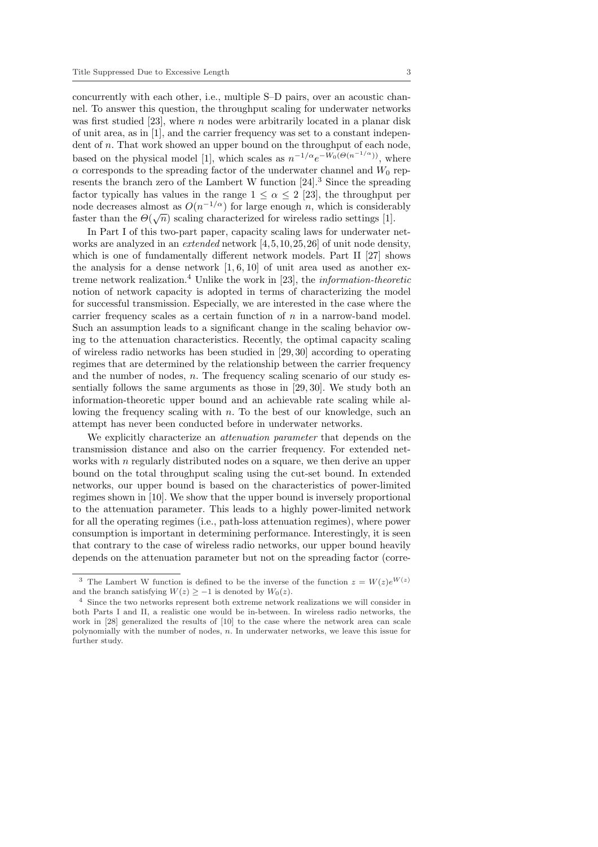concurrently with each other, i.e., multiple S–D pairs, over an acoustic channel. To answer this question, the throughput scaling for underwater networks was first studied [23], where  $n$  nodes were arbitrarily located in a planar disk of unit area, as in [1], and the carrier frequency was set to a constant independent of n. That work showed an upper bound on the throughput of each node, based on the physical model [1], which scales as  $n^{-1/\alpha}e^{-W_0(\Theta(n^{-1/\alpha}))}$ , where  $\alpha$  corresponds to the spreading factor of the underwater channel and  $W_0$  represents the branch zero of the Lambert W function [24].<sup>3</sup> Since the spreading factor typically has values in the range  $1 \leq \alpha \leq 2$  [23], the throughput per node decreases almost as  $O(n^{-1/\alpha})$  for large enough *n*, which is considerably faster than the  $\Theta(\sqrt{n})$  scaling characterized for wireless radio settings [1].

In Part I of this two-part paper, capacity scaling laws for underwater networks are analyzed in an extended network [4,5,10,25,26] of unit node density, which is one of fundamentally different network models. Part II [27] shows the analysis for a dense network  $[1, 6, 10]$  of unit area used as another extreme network realization.<sup>4</sup> Unlike the work in [23], the *information-theoretic* notion of network capacity is adopted in terms of characterizing the model for successful transmission. Especially, we are interested in the case where the carrier frequency scales as a certain function of  $n$  in a narrow-band model. Such an assumption leads to a significant change in the scaling behavior owing to the attenuation characteristics. Recently, the optimal capacity scaling of wireless radio networks has been studied in [29, 30] according to operating regimes that are determined by the relationship between the carrier frequency and the number of nodes,  $n$ . The frequency scaling scenario of our study essentially follows the same arguments as those in [29, 30]. We study both an information-theoretic upper bound and an achievable rate scaling while allowing the frequency scaling with  $n$ . To the best of our knowledge, such an attempt has never been conducted before in underwater networks.

We explicitly characterize an *attenuation parameter* that depends on the transmission distance and also on the carrier frequency. For extended networks with n regularly distributed nodes on a square, we then derive an upper bound on the total throughput scaling using the cut-set bound. In extended networks, our upper bound is based on the characteristics of power-limited regimes shown in [10]. We show that the upper bound is inversely proportional to the attenuation parameter. This leads to a highly power-limited network for all the operating regimes (i.e., path-loss attenuation regimes), where power consumption is important in determining performance. Interestingly, it is seen that contrary to the case of wireless radio networks, our upper bound heavily depends on the attenuation parameter but not on the spreading factor (corre-

<sup>&</sup>lt;sup>3</sup> The Lambert W function is defined to be the inverse of the function  $z = W(z)e^{W(z)}$ and the branch satisfying  $W(z) \ge -1$  is denoted by  $W_0(z)$ .

<sup>4</sup> Since the two networks represent both extreme network realizations we will consider in both Parts I and II, a realistic one would be in-between. In wireless radio networks, the work in [28] generalized the results of [10] to the case where the network area can scale polynomially with the number of nodes, n. In underwater networks, we leave this issue for further study.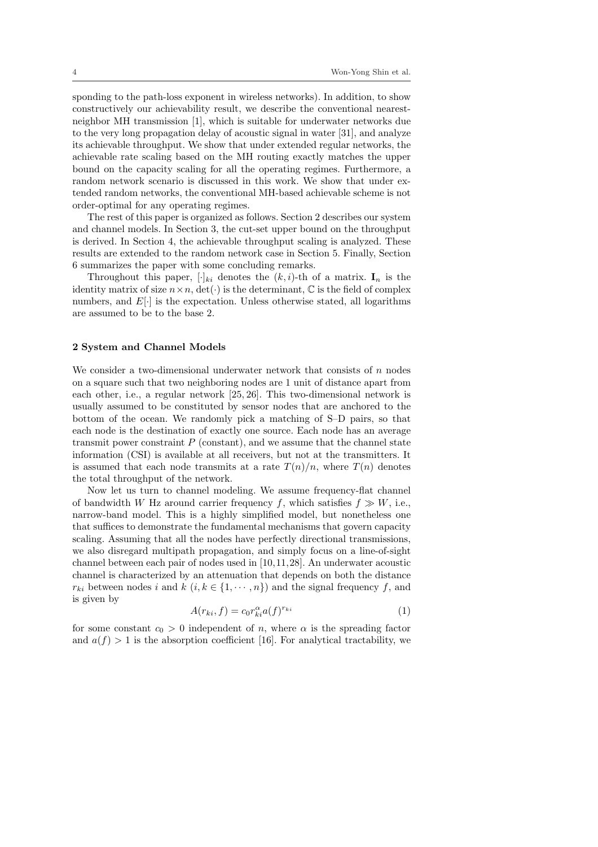sponding to the path-loss exponent in wireless networks). In addition, to show constructively our achievability result, we describe the conventional nearestneighbor MH transmission [1], which is suitable for underwater networks due to the very long propagation delay of acoustic signal in water [31], and analyze its achievable throughput. We show that under extended regular networks, the achievable rate scaling based on the MH routing exactly matches the upper bound on the capacity scaling for all the operating regimes. Furthermore, a random network scenario is discussed in this work. We show that under extended random networks, the conventional MH-based achievable scheme is not order-optimal for any operating regimes.

The rest of this paper is organized as follows. Section 2 describes our system and channel models. In Section 3, the cut-set upper bound on the throughput is derived. In Section 4, the achievable throughput scaling is analyzed. These results are extended to the random network case in Section 5. Finally, Section 6 summarizes the paper with some concluding remarks.

Throughout this paper,  $[\cdot]_{ki}$  denotes the  $(k, i)$ -th of a matrix.  $\mathbf{I}_n$  is the identity matrix of size  $n \times n$ , det( $\cdot$ ) is the determinant,  $\mathbb C$  is the field of complex numbers, and  $E[\cdot]$  is the expectation. Unless otherwise stated, all logarithms are assumed to be to the base 2.

#### 2 System and Channel Models

We consider a two-dimensional underwater network that consists of  $n$  nodes on a square such that two neighboring nodes are 1 unit of distance apart from each other, i.e., a regular network [25, 26]. This two-dimensional network is usually assumed to be constituted by sensor nodes that are anchored to the bottom of the ocean. We randomly pick a matching of S–D pairs, so that each node is the destination of exactly one source. Each node has an average transmit power constraint  $P$  (constant), and we assume that the channel state information (CSI) is available at all receivers, but not at the transmitters. It is assumed that each node transmits at a rate  $T(n)/n$ , where  $T(n)$  denotes the total throughput of the network.

Now let us turn to channel modeling. We assume frequency-flat channel of bandwidth W Hz around carrier frequency f, which satisfies  $f \gg W$ , i.e., narrow-band model. This is a highly simplified model, but nonetheless one that suffices to demonstrate the fundamental mechanisms that govern capacity scaling. Assuming that all the nodes have perfectly directional transmissions, we also disregard multipath propagation, and simply focus on a line-of-sight channel between each pair of nodes used in [10,11,28]. An underwater acoustic channel is characterized by an attenuation that depends on both the distance  $r_{ki}$  between nodes i and  $k$   $(i, k \in \{1, \dots, n\})$  and the signal frequency f, and is given by

$$
A(r_{ki}, f) = c_0 r_{ki}^{\alpha} a(f)^{r_{ki}} \tag{1}
$$

for some constant  $c_0 > 0$  independent of n, where  $\alpha$  is the spreading factor and  $a(f) > 1$  is the absorption coefficient [16]. For analytical tractability, we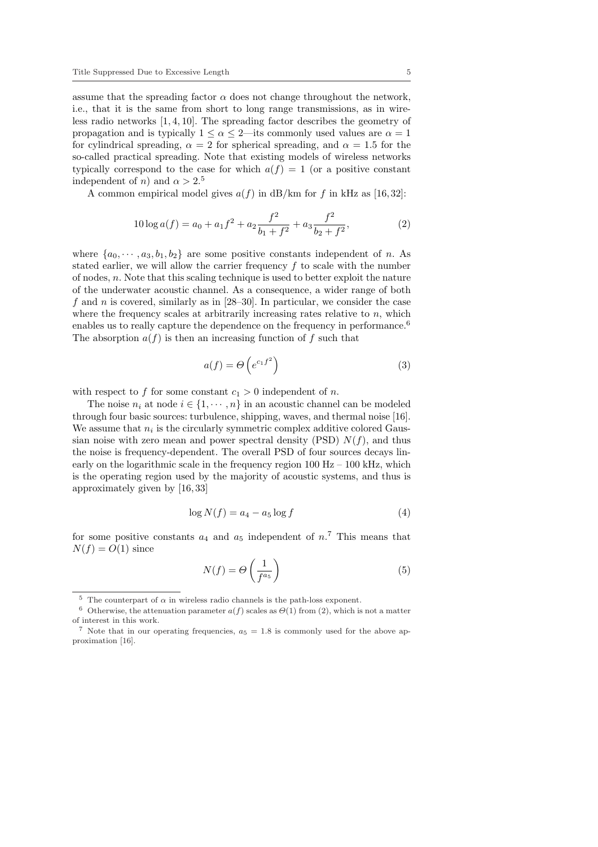assume that the spreading factor  $\alpha$  does not change throughout the network, i.e., that it is the same from short to long range transmissions, as in wireless radio networks [1, 4, 10]. The spreading factor describes the geometry of propagation and is typically  $1 \le \alpha \le 2$ —its commonly used values are  $\alpha = 1$ for cylindrical spreading,  $\alpha = 2$  for spherical spreading, and  $\alpha = 1.5$  for the so-called practical spreading. Note that existing models of wireless networks typically correspond to the case for which  $a(f) = 1$  (or a positive constant independent of *n*) and  $\alpha > 2.5$ 

A common empirical model gives  $a(f)$  in dB/km for f in kHz as [16,32]:

$$
10\log a(f) = a_0 + a_1f^2 + a_2\frac{f^2}{b_1 + f^2} + a_3\frac{f^2}{b_2 + f^2},
$$
\n(2)

where  $\{a_0, \dots, a_3, b_1, b_2\}$  are some positive constants independent of n. As stated earlier, we will allow the carrier frequency  $f$  to scale with the number of nodes, n. Note that this scaling technique is used to better exploit the nature of the underwater acoustic channel. As a consequence, a wider range of both f and n is covered, similarly as in  $[28-30]$ . In particular, we consider the case where the frequency scales at arbitrarily increasing rates relative to  $n$ , which enables us to really capture the dependence on the frequency in performance.<sup>6</sup> The absorption  $a(f)$  is then an increasing function of f such that

$$
a(f) = \Theta\left(e^{c_1 f^2}\right) \tag{3}
$$

with respect to f for some constant  $c_1 > 0$  independent of n.

The noise  $n_i$  at node  $i \in \{1, \dots, n\}$  in an acoustic channel can be modeled through four basic sources: turbulence, shipping, waves, and thermal noise [16]. We assume that  $n_i$  is the circularly symmetric complex additive colored Gaussian noise with zero mean and power spectral density (PSD)  $N(f)$ , and thus the noise is frequency-dependent. The overall PSD of four sources decays linearly on the logarithmic scale in the frequency region  $100$  Hz –  $100$  kHz, which is the operating region used by the majority of acoustic systems, and thus is approximately given by [16, 33]

$$
\log N(f) = a_4 - a_5 \log f \tag{4}
$$

for some positive constants  $a_4$  and  $a_5$  independent of  $n^7$ . This means that  $N(f) = O(1)$  since

$$
N(f) = \Theta\left(\frac{1}{f^{a_5}}\right) \tag{5}
$$

 $^5\,$  The counterpart of  $\alpha$  in wireless radio channels is the path-loss exponent.

<sup>&</sup>lt;sup>6</sup> Otherwise, the attenuation parameter  $a(f)$  scales as  $\Theta(1)$  from (2), which is not a matter of interest in this work.

<sup>&</sup>lt;sup>7</sup> Note that in our operating frequencies,  $a_5 = 1.8$  is commonly used for the above approximation [16].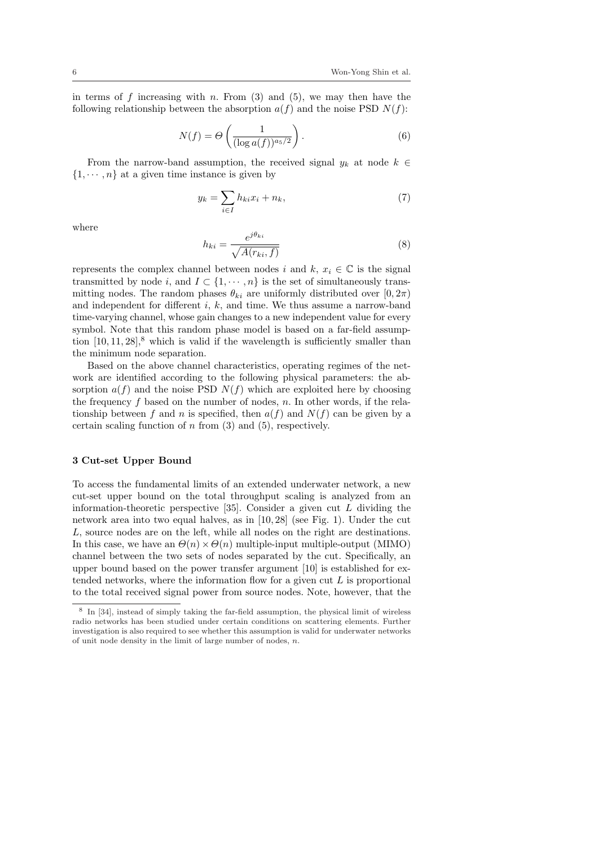in terms of f increasing with n. From  $(3)$  and  $(5)$ , we may then have the following relationship between the absorption  $a(f)$  and the noise PSD  $N(f)$ :

$$
N(f) = \Theta\left(\frac{1}{(\log a(f))^{a_5/2}}\right). \tag{6}
$$

From the narrow-band assumption, the received signal  $y_k$  at node  $k \in$  $\{1, \dots, n\}$  at a given time instance is given by

$$
y_k = \sum_{i \in I} h_{ki} x_i + n_k,\tag{7}
$$

where

$$
h_{ki} = \frac{e^{j\theta_{ki}}}{\sqrt{A(r_{ki}, f)}}
$$
\n(8)

represents the complex channel between nodes i and k,  $x_i \in \mathbb{C}$  is the signal transmitted by node i, and  $I \subset \{1, \dots, n\}$  is the set of simultaneously transmitting nodes. The random phases  $\theta_{ki}$  are uniformly distributed over  $[0, 2\pi)$ and independent for different  $i, k$ , and time. We thus assume a narrow-band time-varying channel, whose gain changes to a new independent value for every symbol. Note that this random phase model is based on a far-field assumption  $[10, 11, 28]$ ,<sup>8</sup> which is valid if the wavelength is sufficiently smaller than the minimum node separation.

Based on the above channel characteristics, operating regimes of the network are identified according to the following physical parameters: the absorption  $a(f)$  and the noise PSD  $N(f)$  which are exploited here by choosing the frequency  $f$  based on the number of nodes,  $n$ . In other words, if the relationship between f and n is specified, then  $a(f)$  and  $N(f)$  can be given by a certain scaling function of  $n$  from  $(3)$  and  $(5)$ , respectively.

### 3 Cut-set Upper Bound

To access the fundamental limits of an extended underwater network, a new cut-set upper bound on the total throughput scaling is analyzed from an information-theoretic perspective  $[35]$ . Consider a given cut L dividing the network area into two equal halves, as in [10, 28] (see Fig. 1). Under the cut L, source nodes are on the left, while all nodes on the right are destinations. In this case, we have an  $\Theta(n) \times \Theta(n)$  multiple-input multiple-output (MIMO) channel between the two sets of nodes separated by the cut. Specifically, an upper bound based on the power transfer argument [10] is established for extended networks, where the information flow for a given cut  $L$  is proportional to the total received signal power from source nodes. Note, however, that the

<sup>&</sup>lt;sup>8</sup> In [34], instead of simply taking the far-field assumption, the physical limit of wireless radio networks has been studied under certain conditions on scattering elements. Further investigation is also required to see whether this assumption is valid for underwater networks of unit node density in the limit of large number of nodes,  $n$ .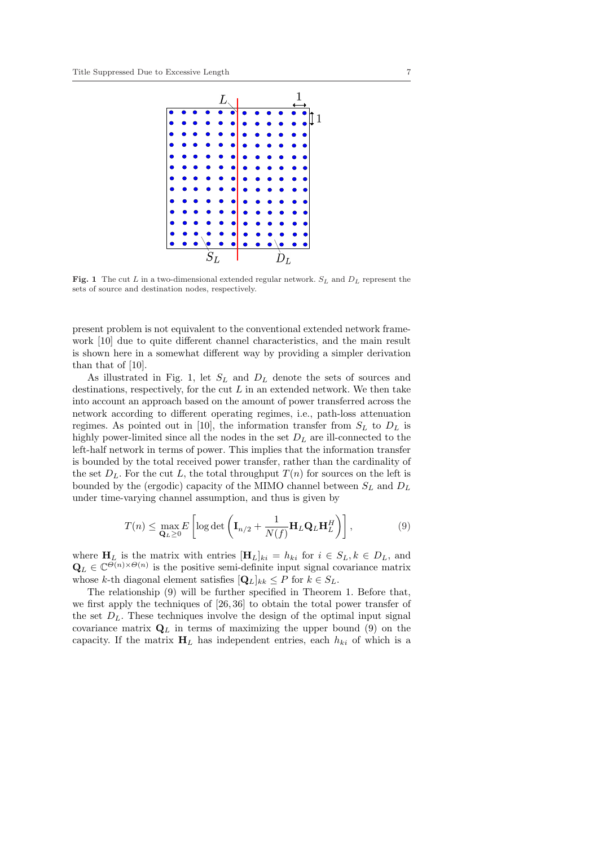

Fig. 1 The cut L in a two-dimensional extended regular network.  $S_L$  and  $D_L$  represent the sets of source and destination nodes, respectively.

present problem is not equivalent to the conventional extended network framework [10] due to quite different channel characteristics, and the main result is shown here in a somewhat different way by providing a simpler derivation than that of [10].

As illustrated in Fig. 1, let  $S_L$  and  $D_L$  denote the sets of sources and destinations, respectively, for the cut  $L$  in an extended network. We then take into account an approach based on the amount of power transferred across the network according to different operating regimes, i.e., path-loss attenuation regimes. As pointed out in [10], the information transfer from  $S_L$  to  $D_L$  is highly power-limited since all the nodes in the set  $D<sub>L</sub>$  are ill-connected to the left-half network in terms of power. This implies that the information transfer is bounded by the total received power transfer, rather than the cardinality of the set  $D_L$ . For the cut L, the total throughput  $T(n)$  for sources on the left is bounded by the (ergodic) capacity of the MIMO channel between  $S_L$  and  $D_L$ under time-varying channel assumption, and thus is given by

$$
T(n) \leq \max_{\mathbf{Q}_L \geq 0} E\left[ \log \det \left( \mathbf{I}_{n/2} + \frac{1}{N(f)} \mathbf{H}_L \mathbf{Q}_L \mathbf{H}_L^H \right) \right],
$$
 (9)

where  $H_L$  is the matrix with entries  $[H_L]_{ki} = h_{ki}$  for  $i \in S_L, k \in D_L$ , and  $\mathbf{Q}_L \in \mathbb{C}^{\Theta(n)\times\Theta(n)}$  is the positive semi-definite input signal covariance matrix whose k-th diagonal element satisfies  $[Q_L]_{kk} \leq P$  for  $k \in S_L$ .

The relationship (9) will be further specified in Theorem 1. Before that, we first apply the techniques of [26, 36] to obtain the total power transfer of the set  $D_L$ . These techniques involve the design of the optimal input signal covariance matrix  $\mathbf{Q}_L$  in terms of maximizing the upper bound (9) on the capacity. If the matrix  $H_L$  has independent entries, each  $h_{ki}$  of which is a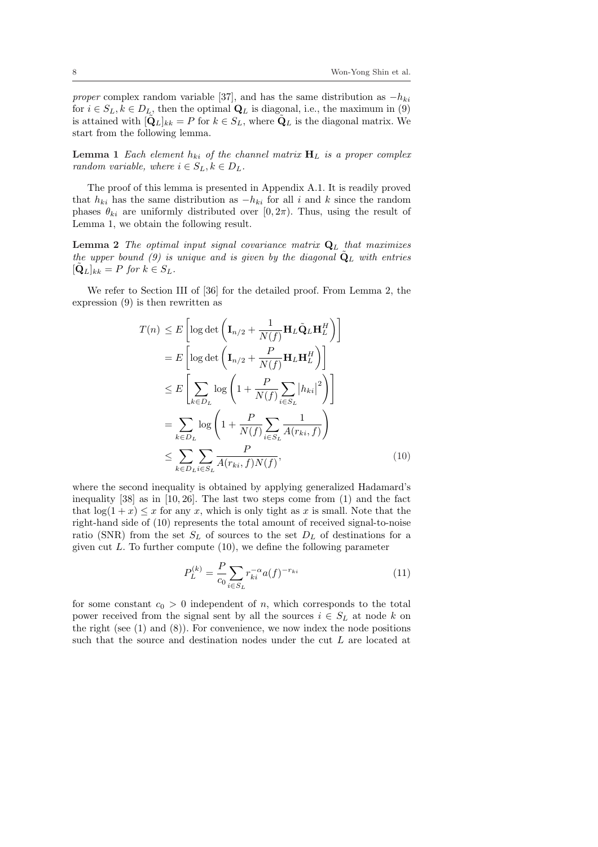proper complex random variable [37], and has the same distribution as  $-h_{ki}$ for  $i \in S_L, k \in D_L$ , then the optimal  $\mathbf{Q}_L$  is diagonal, i.e., the maximum in (9) is attained with  $[\hat{\mathbf{Q}}_L]_{kk} = P$  for  $k \in S_L$ , where  $\hat{\mathbf{Q}}_L$  is the diagonal matrix. We start from the following lemma.

**Lemma 1** Each element  $h_{ki}$  of the channel matrix  $H_L$  is a proper complex random variable, where  $i \in S_L, k \in D_L$ .

The proof of this lemma is presented in Appendix A.1. It is readily proved that  $h_{ki}$  has the same distribution as  $-h_{ki}$  for all i and k since the random phases  $\theta_{ki}$  are uniformly distributed over [0, 2π). Thus, using the result of Lemma 1, we obtain the following result.

**Lemma 2** The optimal input signal covariance matrix  $Q_L$  that maximizes the upper bound (9) is unique and is given by the diagonal  $\dot{Q}_L$  with entries  $[\tilde{\mathbf{Q}}_L]_{kk} = P$  for  $k \in S_L$ .

We refer to Section III of [36] for the detailed proof. From Lemma 2, the expression (9) is then rewritten as

$$
T(n) \leq E \left[ \log \det \left( \mathbf{I}_{n/2} + \frac{1}{N(f)} \mathbf{H}_{L} \tilde{\mathbf{Q}}_{L} \mathbf{H}_{L}^{H} \right) \right]
$$
  
\n
$$
= E \left[ \log \det \left( \mathbf{I}_{n/2} + \frac{P}{N(f)} \mathbf{H}_{L} \mathbf{H}_{L}^{H} \right) \right]
$$
  
\n
$$
\leq E \left[ \sum_{k \in D_{L}} \log \left( 1 + \frac{P}{N(f)} \sum_{i \in S_{L}} |h_{ki}|^{2} \right) \right]
$$
  
\n
$$
= \sum_{k \in D_{L}} \log \left( 1 + \frac{P}{N(f)} \sum_{i \in S_{L}} \frac{1}{A(r_{ki}, f)} \right)
$$
  
\n
$$
\leq \sum_{k \in D_{L}} \sum_{i \in S_{L}} \frac{P}{A(r_{ki}, f) N(f)}, \tag{10}
$$

where the second inequality is obtained by applying generalized Hadamard's inequality [38] as in [10, 26]. The last two steps come from (1) and the fact that  $log(1 + x) \leq x$  for any x, which is only tight as x is small. Note that the right-hand side of (10) represents the total amount of received signal-to-noise ratio (SNR) from the set  $S_L$  of sources to the set  $D_L$  of destinations for a given cut  $L$ . To further compute  $(10)$ , we define the following parameter

$$
P_L^{(k)} = \frac{P}{c_0} \sum_{i \in S_L} r_{ki}^{-\alpha} a(f)^{-r_{ki}} \tag{11}
$$

for some constant  $c_0 > 0$  independent of n, which corresponds to the total power received from the signal sent by all the sources  $i \in S_L$  at node k on the right (see  $(1)$  and  $(8)$ ). For convenience, we now index the node positions such that the source and destination nodes under the cut L are located at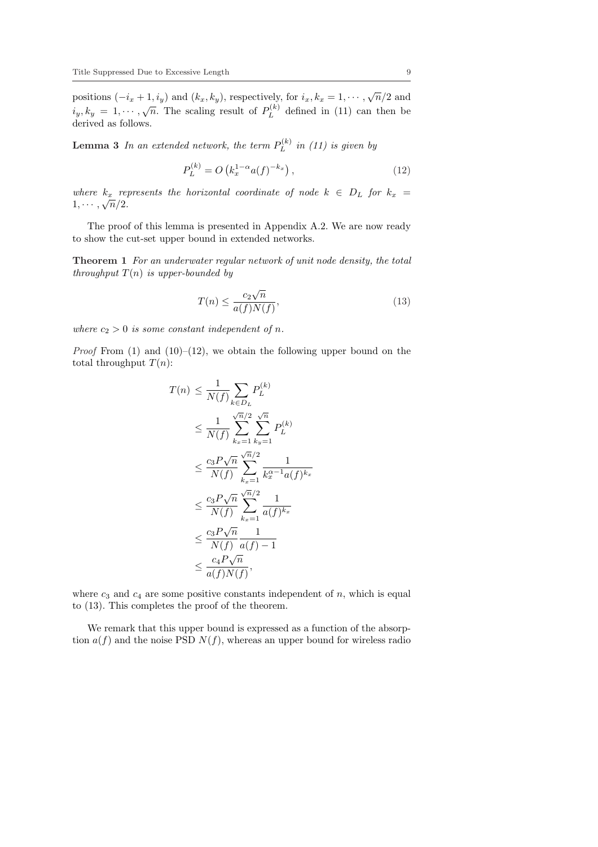positions  $(-i_x + 1, i_y)$  and  $(k_x, k_y)$ , respectively, for  $i_x, k_x = 1, \dots, \sqrt{n/2}$  and  $i_y, k_y = 1, \cdots, \sqrt{n}$ . The scaling result of  $P_L^{(k)}$  $L^{(k)}$  defined in (11) can then be derived as follows.

**Lemma 3** In an extended network, the term  $P_L^{(k)}$  $L^{(k)}$  in (11) is given by

$$
P_L^{(k)} = O\left(k_x^{1-\alpha} a(f)^{-k_x}\right),\tag{12}
$$

where  $k_x$  represents the horizontal coordinate of node  $k \in D_L$  for  $k_x =$  $1, \cdots, \sqrt{n}/2.$ 

The proof of this lemma is presented in Appendix A.2. We are now ready to show the cut-set upper bound in extended networks.

Theorem 1 For an underwater regular network of unit node density, the total throughput  $T(n)$  is upper-bounded by

$$
T(n) \le \frac{c_2\sqrt{n}}{a(f)N(f)},\tag{13}
$$

where  $c_2 > 0$  is some constant independent of n.

*Proof* From  $(1)$  and  $(10)–(12)$ , we obtain the following upper bound on the total throughput  $T(n)$ :

$$
T(n) \leq \frac{1}{N(f)} \sum_{k \in D_L} P_L^{(k)}
$$
  
\n
$$
\leq \frac{1}{N(f)} \sum_{k_x=1}^{\sqrt{n}/2} \sum_{k_y=1}^{\sqrt{n}} P_L^{(k)}
$$
  
\n
$$
\leq \frac{c_3 P \sqrt{n}}{N(f)} \sum_{k_x=1}^{\sqrt{n}/2} \frac{1}{k_x^{\alpha-1} a(f)^{k_x}}
$$
  
\n
$$
\leq \frac{c_3 P \sqrt{n}}{N(f)} \sum_{k_x=1}^{\sqrt{n}/2} \frac{1}{a(f)^{k_x}}
$$
  
\n
$$
\leq \frac{c_3 P \sqrt{n}}{N(f)} \frac{1}{a(f) - 1}
$$
  
\n
$$
\leq \frac{c_4 P \sqrt{n}}{a(f) N(f)},
$$

where  $c_3$  and  $c_4$  are some positive constants independent of n, which is equal to (13). This completes the proof of the theorem.

We remark that this upper bound is expressed as a function of the absorption  $a(f)$  and the noise PSD  $N(f)$ , whereas an upper bound for wireless radio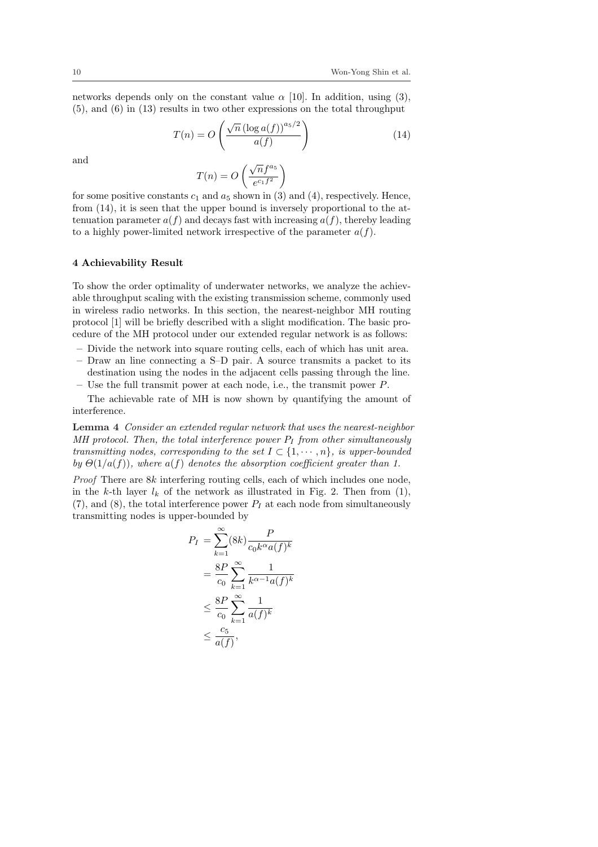networks depends only on the constant value  $\alpha$  [10]. In addition, using (3), (5), and (6) in (13) results in two other expressions on the total throughput !<br>!

$$
T(n) = O\left(\frac{\sqrt{n} \left(\log a(f)\right)^{a_5/2}}{a(f)}\right)
$$
\n(14)

and

$$
T(n) = O\left(\frac{\sqrt{n}f^{a_5}}{e^{c_1f^2}}\right)
$$

for some positive constants  $c_1$  and  $a_5$  shown in (3) and (4), respectively. Hence, from (14), it is seen that the upper bound is inversely proportional to the attenuation parameter  $a(f)$  and decays fast with increasing  $a(f)$ , thereby leading to a highly power-limited network irrespective of the parameter  $a(f)$ .

#### 4 Achievability Result

To show the order optimality of underwater networks, we analyze the achievable throughput scaling with the existing transmission scheme, commonly used in wireless radio networks. In this section, the nearest-neighbor MH routing protocol [1] will be briefly described with a slight modification. The basic procedure of the MH protocol under our extended regular network is as follows:

- Divide the network into square routing cells, each of which has unit area.
- Draw an line connecting a S–D pair. A source transmits a packet to its destination using the nodes in the adjacent cells passing through the line.
- Use the full transmit power at each node, i.e., the transmit power  $P$ .

The achievable rate of MH is now shown by quantifying the amount of interference.

Lemma 4 Consider an extended regular network that uses the nearest-neighbor MH protocol. Then, the total interference power  $P_I$  from other simultaneously transmitting nodes, corresponding to the set  $I \subset \{1, \dots, n\}$ , is upper-bounded by  $\Theta(1/a(f))$ , where  $a(f)$  denotes the absorption coefficient greater than 1.

Proof There are 8k interfering routing cells, each of which includes one node, in the k-th layer  $l_k$  of the network as illustrated in Fig. 2. Then from (1),  $(7)$ , and  $(8)$ , the total interference power  $P<sub>I</sub>$  at each node from simultaneously transmitting nodes is upper-bounded by

$$
P_I = \sum_{k=1}^{\infty} (8k) \frac{P}{c_0 k^{\alpha} a(f)^k}
$$
  
= 
$$
\frac{8P}{c_0} \sum_{k=1}^{\infty} \frac{1}{k^{\alpha-1} a(f)^k}
$$
  

$$
\leq \frac{8P}{c_0} \sum_{k=1}^{\infty} \frac{1}{a(f)^k}
$$
  

$$
\leq \frac{c_5}{a(f)},
$$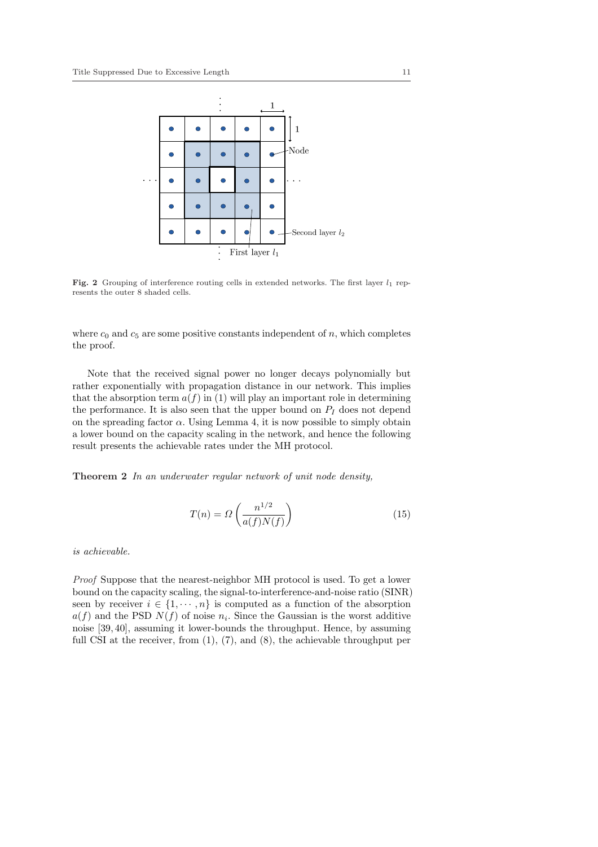

Fig. 2 Grouping of interference routing cells in extended networks. The first layer  $l_1$  represents the outer 8 shaded cells.

where  $c_0$  and  $c_5$  are some positive constants independent of n, which completes the proof.

Note that the received signal power no longer decays polynomially but rather exponentially with propagation distance in our network. This implies that the absorption term  $a(f)$  in (1) will play an important role in determining the performance. It is also seen that the upper bound on  $P_I$  does not depend on the spreading factor  $\alpha$ . Using Lemma 4, it is now possible to simply obtain a lower bound on the capacity scaling in the network, and hence the following result presents the achievable rates under the MH protocol.

Theorem 2 In an underwater regular network of unit node density,

$$
T(n) = \Omega\left(\frac{n^{1/2}}{a(f)N(f)}\right) \tag{15}
$$

is achievable.

Proof Suppose that the nearest-neighbor MH protocol is used. To get a lower bound on the capacity scaling, the signal-to-interference-and-noise ratio (SINR) seen by receiver  $i \in \{1, \dots, n\}$  is computed as a function of the absorption  $a(f)$  and the PSD  $N(f)$  of noise  $n_i$ . Since the Gaussian is the worst additive noise [39, 40], assuming it lower-bounds the throughput. Hence, by assuming full CSI at the receiver, from  $(1)$ ,  $(7)$ , and  $(8)$ , the achievable throughput per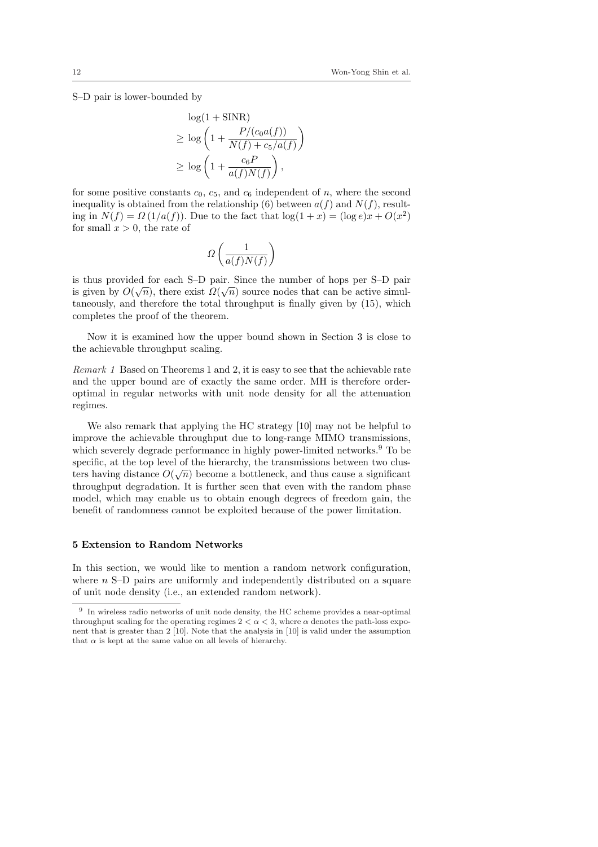S–D pair is lower-bounded by

$$
\log(1 + \text{SINR})
$$
  
\n
$$
\geq \log\left(1 + \frac{P/(c_0 a(f))}{N(f) + c_5/a(f)}\right)
$$
  
\n
$$
\geq \log\left(1 + \frac{c_6 P}{a(f)N(f)}\right),
$$

for some positive constants  $c_0$ ,  $c_5$ , and  $c_6$  independent of n, where the second inequality is obtained from the relationship (6) between  $a(f)$  and  $N(f)$ , resulting in  $N(f) = \Omega(1/a(f))$ . Due to the fact that  $\log(1+x) = (\log e)x + O(x^2)$ for small  $x > 0$ , the rate of

$$
\varOmega\left(\frac{1}{a(f)N(f)}\right)
$$

is thus provided for each S–D pair. Since the number of hops per S–D pair is given by  $O(\sqrt{n})$ , there exist  $\Omega(\sqrt{n})$  source nodes that can be active simultaneously, and therefore the total throughput is finally given by (15), which completes the proof of the theorem.

Now it is examined how the upper bound shown in Section 3 is close to the achievable throughput scaling.

Remark 1 Based on Theorems 1 and 2, it is easy to see that the achievable rate and the upper bound are of exactly the same order. MH is therefore orderoptimal in regular networks with unit node density for all the attenuation regimes.

We also remark that applying the HC strategy [10] may not be helpful to improve the achievable throughput due to long-range MIMO transmissions, which severely degrade performance in highly power-limited networks.<sup>9</sup> To be specific, at the top level of the hierarchy, the transmissions between two clusspecific, at the top level of the merarchy, the transmissions between two clus-<br>ters having distance  $O(\sqrt{n})$  become a bottleneck, and thus cause a significant throughput degradation. It is further seen that even with the random phase model, which may enable us to obtain enough degrees of freedom gain, the benefit of randomness cannot be exploited because of the power limitation.

## 5 Extension to Random Networks

In this section, we would like to mention a random network configuration, where  $n$  S–D pairs are uniformly and independently distributed on a square of unit node density (i.e., an extended random network).

<sup>&</sup>lt;sup>9</sup> In wireless radio networks of unit node density, the HC scheme provides a near-optimal throughput scaling for the operating regimes  $2 < \alpha < 3$ , where  $\alpha$  denotes the path-loss exponent that is greater than 2 [10]. Note that the analysis in [10] is valid under the assumption that  $\alpha$  is kept at the same value on all levels of hierarchy.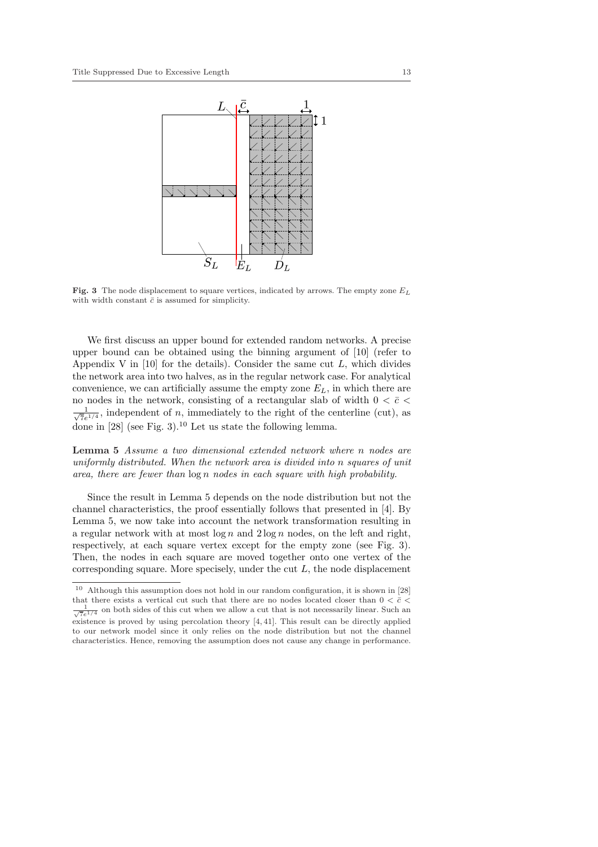

Fig. 3 The node displacement to square vertices, indicated by arrows. The empty zone  $E_L$ with width constant  $\bar{c}$  is assumed for simplicity.

We first discuss an upper bound for extended random networks. A precise upper bound can be obtained using the binning argument of [10] (refer to Appendix V in [10] for the details). Consider the same cut  $L$ , which divides the network area into two halves, as in the regular network case. For analytical convenience, we can artificially assume the empty zone  $E_L$ , in which there are no nodes in the network, consisting of a rectangular slab of width 0 <  $\bar{c}$  <  $\frac{1}{\sqrt{2}}$  $\frac{1}{7e^{1/4}}$ , independent of *n*, immediately to the right of the centerline (cut), as done in  $[28]$  (see Fig. 3).<sup>10</sup> Let us state the following lemma.

Lemma 5 Assume a two dimensional extended network where n nodes are uniformly distributed. When the network area is divided into n squares of unit area, there are fewer than log n nodes in each square with high probability.

Since the result in Lemma 5 depends on the node distribution but not the channel characteristics, the proof essentially follows that presented in [4]. By Lemma 5, we now take into account the network transformation resulting in a regular network with at most  $\log n$  and  $2 \log n$  nodes, on the left and right, respectively, at each square vertex except for the empty zone (see Fig. 3). Then, the nodes in each square are moved together onto one vertex of the corresponding square. More specisely, under the cut L, the node displacement

<sup>10</sup> Although this assumption does not hold in our random configuration, it is shown in [28] that there exists a vertical cut such that there are no nodes located closer than  $0 < \bar{c} <$  $\frac{1}{\sqrt{7}e^{1/4}}$  on both sides of this cut when we allow a cut that is not necessarily linear. Such an existence is proved by using percolation theory [4, 41]. This result can be directly applied to our network model since it only relies on the node distribution but not the channel characteristics. Hence, removing the assumption does not cause any change in performance.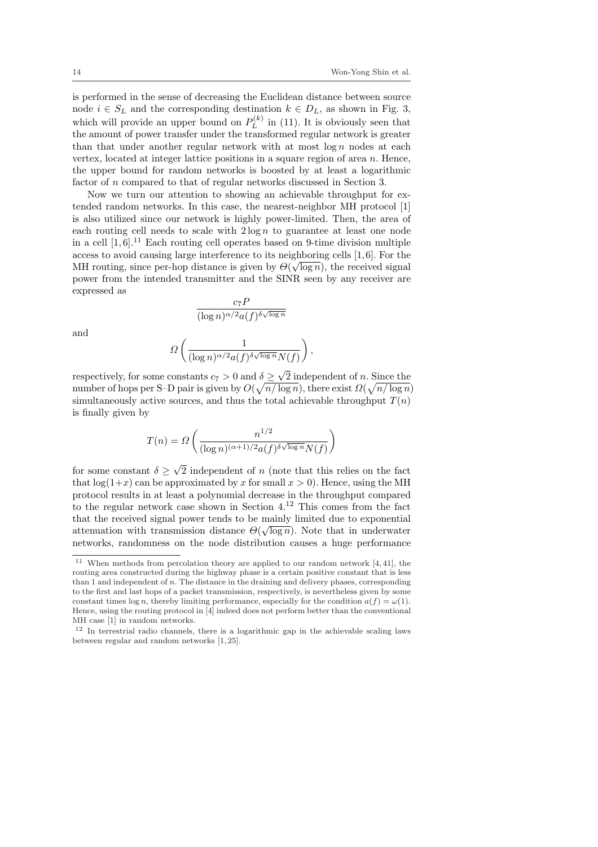is performed in the sense of decreasing the Euclidean distance between source node  $i \in S_L$  and the corresponding destination  $k \in D_L$ , as shown in Fig. 3, which will provide an upper bound on  $P_L^{(k)}$  $L^{(k)}$  in (11). It is obviously seen that the amount of power transfer under the transformed regular network is greater than that under another regular network with at most  $\log n$  nodes at each vertex, located at integer lattice positions in a square region of area  $n$ . Hence, the upper bound for random networks is boosted by at least a logarithmic factor of n compared to that of regular networks discussed in Section 3.

Now we turn our attention to showing an achievable throughput for extended random networks. In this case, the nearest-neighbor MH protocol [1] is also utilized since our network is highly power-limited. Then, the area of each routing cell needs to scale with  $2 \log n$  to guarantee at least one node in a cell  $[1, 6]$ <sup>11</sup> Each routing cell operates based on 9-time division multiple access to avoid causing large interference to its neighboring cells  $[1, 6]$ . For the MH routing, since per-hop distance is given by  $\Theta(\sqrt{\log n})$ , the received signal power from the intended transmitter and the SINR seen by any receiver are expressed as

$$
\frac{c_7 P}{(\log n)^{\alpha/2}a(f)^{\delta\sqrt{\log n}}}
$$

and

$$
\Omega\left(\frac{1}{(\log n)^{\alpha/2}a(f)^{\delta\sqrt{\log n}}N(f)}\right),\,
$$

respectively, for some constants  $c_7 > 0$  and  $\delta \geq$  $\delta \geq \sqrt{2}$  independent of n. Since the number of hops per S–D pair is given by  $O(\sqrt{n/\log n})$ , there exist  $\Omega(\sqrt{n/\log n})$ simultaneously active sources, and thus the total achievable throughput  $T(n)$ is finally given by

$$
T(n) = \Omega\left(\frac{n^{1/2}}{(\log n)^{(\alpha+1)/2} a(f)^{\delta \sqrt{\log n}} N(f)}\right)
$$

for some constant  $\delta \geq$ √ 2 independent of n (note that this relies on the fact that  $log(1+x)$  can be approximated by x for small  $x > 0$ ). Hence, using the MH protocol results in at least a polynomial decrease in the throughput compared to the regular network case shown in Section 4.<sup>12</sup> This comes from the fact that the received signal power tends to be mainly limited due to exponential attenuation with transmission distance  $\Theta(\sqrt{\log n})$ . Note that in underwater networks, randomness on the node distribution causes a huge performance

<sup>&</sup>lt;sup>11</sup> When methods from percolation theory are applied to our random network  $[4, 41]$ , the routing area constructed during the highway phase is a certain positive constant that is less than  $1$  and independent of  $n$ . The distance in the draining and delivery phases, corresponding to the first and last hops of a packet transmission, respectively, is nevertheless given by some constant times  $\log n$ , thereby limiting performance, especially for the condition  $a(f) = \omega(1)$ . Hence, using the routing protocol in [4] indeed does not perform better than the conventional MH case [1] in random networks.

<sup>&</sup>lt;sup>12</sup> In terrestrial radio channels, there is a logarithmic gap in the achievable scaling laws between regular and random networks [1, 25].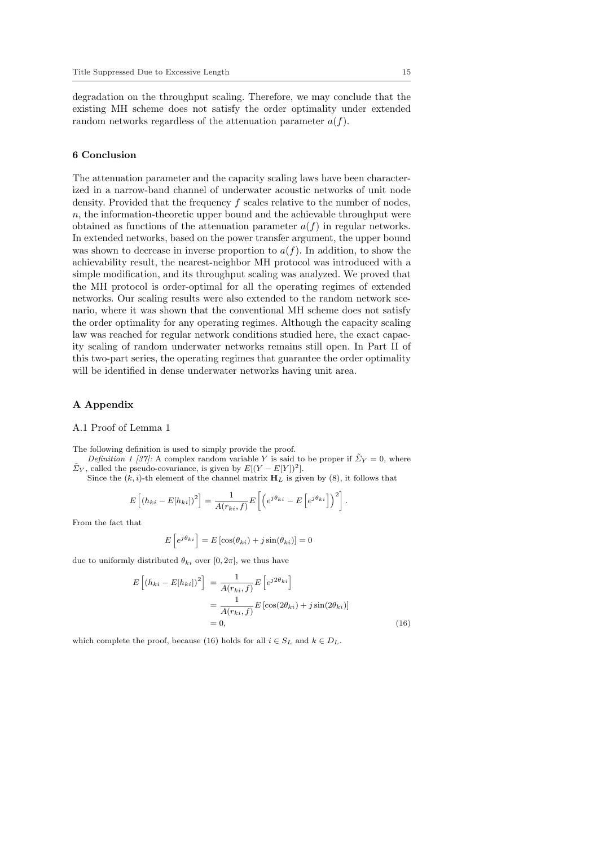degradation on the throughput scaling. Therefore, we may conclude that the existing MH scheme does not satisfy the order optimality under extended random networks regardless of the attenuation parameter  $a(f)$ .

#### 6 Conclusion

The attenuation parameter and the capacity scaling laws have been characterized in a narrow-band channel of underwater acoustic networks of unit node density. Provided that the frequency  $f$  scales relative to the number of nodes,  $n$ , the information-theoretic upper bound and the achievable throughput were obtained as functions of the attenuation parameter  $a(f)$  in regular networks. In extended networks, based on the power transfer argument, the upper bound was shown to decrease in inverse proportion to  $a(f)$ . In addition, to show the achievability result, the nearest-neighbor MH protocol was introduced with a simple modification, and its throughput scaling was analyzed. We proved that the MH protocol is order-optimal for all the operating regimes of extended networks. Our scaling results were also extended to the random network scenario, where it was shown that the conventional MH scheme does not satisfy the order optimality for any operating regimes. Although the capacity scaling law was reached for regular network conditions studied here, the exact capacity scaling of random underwater networks remains still open. In Part II of this two-part series, the operating regimes that guarantee the order optimality will be identified in dense underwater networks having unit area.

## A Appendix

#### A.1 Proof of Lemma 1

The following definition is used to simply provide the proof.

- Definition 1 [37]: A complex random variable Y is said to be proper if  $\tilde{\Sigma}_Y = 0$ , where  $\tilde{\Sigma}_Y$ , called the pseudo-covariance, is given by  $E[(Y - E[Y])^2]$ .
	- Since the  $(k, i)$ -th element of the channel matrix  $H_L$  is given by  $(8)$ , it follows that

$$
E\left[(h_{ki} - E[h_{ki}])^2\right] = \frac{1}{A(r_{ki}, f)}E\left[\left(e^{j\theta_{ki}} - E\left[e^{j\theta_{ki}}\right]\right)^2\right].
$$

From the fact that

$$
E\left[e^{j\theta_{ki}}\right] = E\left[\cos(\theta_{ki}) + j\sin(\theta_{ki})\right] = 0
$$

due to uniformly distributed  $\theta_{ki}$  over [0,  $2\pi$ ], we thus have

$$
E\left[\left(h_{ki} - E[h_{ki}\right]\right)^2\right] = \frac{1}{A(r_{ki}, f)} E\left[e^{j2\theta_{ki}}\right]
$$

$$
= \frac{1}{A(r_{ki}, f)} E\left[\cos(2\theta_{ki}) + j\sin(2\theta_{ki})\right]
$$

$$
= 0, \tag{16}
$$

which complete the proof, because (16) holds for all  $i \in S_L$  and  $k \in D_L$ .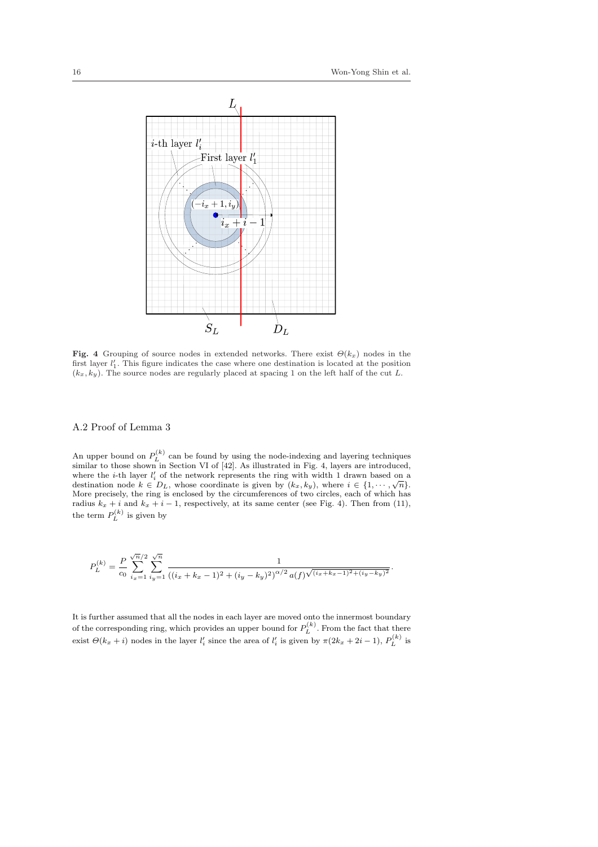.



Fig. 4 Grouping of source nodes in extended networks. There exist  $\Theta(k_x)$  nodes in the first layer  $l'_1$ . This figure indicates the case where one destination is located at the position  $(k_x, k_y)$ . The source nodes are regularly placed at spacing 1 on the left half of the cut L.

## A.2 Proof of Lemma 3

An upper bound on  $P_L^{(k)}$  can be found by using the node-indexing and layering techniques similar to those shown in Section VI of [42]. As illustrated in Fig. 4, layers are introduced, where the *i*-th layer  $l'_i$  of the network represents the ring with width 1 drawn based on a destination node  $k \in D_L$ , whose coordinate is given by  $(k_x, k_y)$ , where  $i \in \{1, \dots, \sqrt{n}\}.$ More precisely, the ring is enclosed by the circumferences of two circles, each of which has radius  $k_x + i$  and  $k_x + i - 1$ , respectively, at its same center (see Fig. 4). Then from (11), the term  $P_L^{(k)}$  is given by

$$
P_L^{(k)} = \frac{P}{c_0} \sum_{i_x=1}^{\sqrt{n}/2} \sum_{iy=1}^{\sqrt{n}} \frac{1}{((i_x + k_x - 1)^2 + (i_y - k_y)^2)^{\alpha/2} a(f)^{\sqrt{(i_x + k_x - 1)^2 + (i_y - k_y)^2}}}
$$

It is further assumed that all the nodes in each layer are moved onto the innermost boundary of the corresponding ring, which provides an upper bound for  $P_L^{(k)}$ . From the fact that there exist  $\Theta(k_x+i)$  nodes in the layer  $l'_i$  since the area of  $l'_i$  is given by  $\pi(2k_x+2i-1)$ ,  $P_L^{(k)}$  is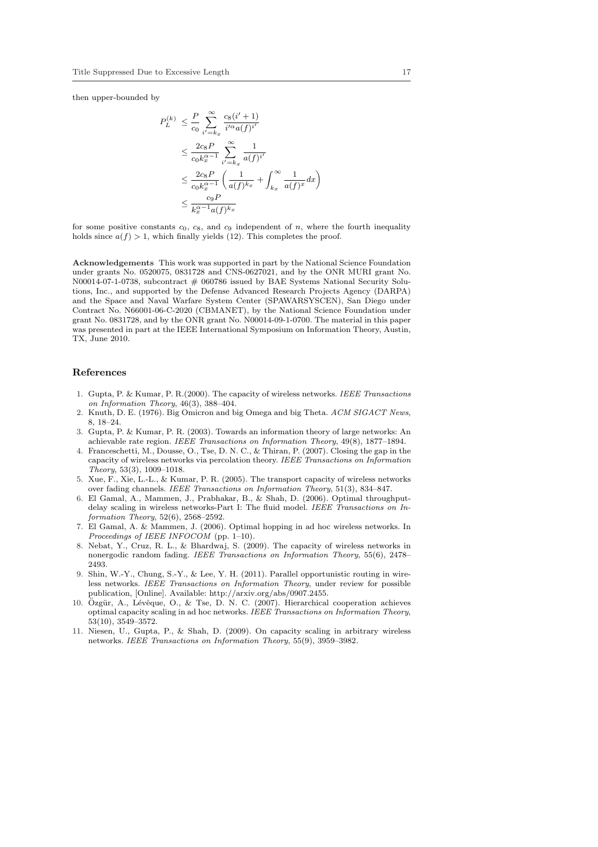then upper-bounded by

$$
P_L^{(k)} \leq \frac{P}{c_0} \sum_{i'=k_x}^{\infty} \frac{c_8(i'+1)}{i'^{\alpha}a(f)^{i'}}
$$
  

$$
\leq \frac{2c_8P}{c_0k_x^{\alpha-1}} \sum_{i'=k_x}^{\infty} \frac{1}{a(f)^{i'}}
$$
  

$$
\leq \frac{2c_8P}{c_0k_x^{\alpha-1}} \left(\frac{1}{a(f)^{k_x}} + \int_{k_x}^{\infty} \frac{1}{a(f)^x} dx\right)
$$
  

$$
\leq \frac{c_9P}{k_x^{\alpha-1}a(f)^{k_x}}
$$

for some positive constants  $c_0$ ,  $c_8$ , and  $c_9$  independent of n, where the fourth inequality holds since  $a(f) > 1$ , which finally yields (12). This completes the proof.

Acknowledgements This work was supported in part by the National Science Foundation under grants No. 0520075, 0831728 and CNS-0627021, and by the ONR MURI grant No. N00014-07-1-0738, subcontract # 060786 issued by BAE Systems National Security Solutions, Inc., and supported by the Defense Advanced Research Projects Agency (DARPA) and the Space and Naval Warfare System Center (SPAWARSYSCEN), San Diego under Contract No. N66001-06-C-2020 (CBMANET), by the National Science Foundation under grant No. 0831728, and by the ONR grant No. N00014-09-1-0700. The material in this paper was presented in part at the IEEE International Symposium on Information Theory, Austin, TX, June 2010.

#### References

- 1. Gupta, P. & Kumar, P. R.(2000). The capacity of wireless networks. IEEE Transactions on Information Theory, 46(3), 388–404.
- 2. Knuth, D. E. (1976). Big Omicron and big Omega and big Theta. ACM SIGACT News, 8, 18–24.
- 3. Gupta, P. & Kumar, P. R. (2003). Towards an information theory of large networks: An achievable rate region. IEEE Transactions on Information Theory, 49(8), 1877–1894.
- 4. Franceschetti, M., Dousse, O., Tse, D. N. C., & Thiran, P. (2007). Closing the gap in the capacity of wireless networks via percolation theory. IEEE Transactions on Information Theory, 53(3), 1009–1018.
- 5. Xue, F., Xie, L.-L., & Kumar, P. R. (2005). The transport capacity of wireless networks over fading channels. IEEE Transactions on Information Theory, 51(3), 834–847.
- 6. El Gamal, A., Mammen, J., Prabhakar, B., & Shah, D. (2006). Optimal throughputdelay scaling in wireless networks-Part I: The fluid model. IEEE Transactions on Information Theory, 52(6), 2568–2592.
- 7. El Gamal, A. & Mammen, J. (2006). Optimal hopping in ad hoc wireless networks. In Proceedings of IEEE INFOCOM (pp. 1–10).
- 8. Nebat, Y., Cruz, R. L., & Bhardwaj, S. (2009). The capacity of wireless networks in nonergodic random fading. IEEE Transactions on Information Theory, 55(6), 2478– 2493.
- 9. Shin, W.-Y., Chung, S.-Y., & Lee, Y. H. (2011). Parallel opportunistic routing in wireless networks. IEEE Transactions on Information Theory, under review for possible publication, [Online]. Available: http://arxiv.org/abs/0907.2455.
- 10. Özgür, A., Lévêque, O., & Tse, D. N. C. (2007). Hierarchical cooperation achieves optimal capacity scaling in ad hoc networks. IEEE Transactions on Information Theory, 53(10), 3549–3572.
- 11. Niesen, U., Gupta, P., & Shah, D. (2009). On capacity scaling in arbitrary wireless networks. IEEE Transactions on Information Theory, 55(9), 3959–3982.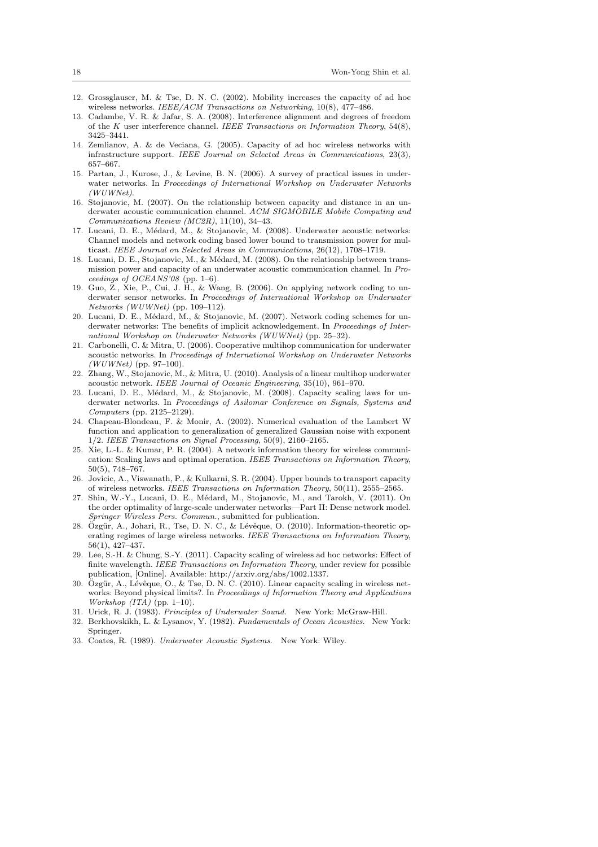- 12. Grossglauser, M. & Tse, D. N. C. (2002). Mobility increases the capacity of ad hoc wireless networks. IEEE/ACM Transactions on Networking, 10(8), 477-486.
- 13. Cadambe, V. R. & Jafar, S. A. (2008). Interference alignment and degrees of freedom of the K user interference channel. IEEE Transactions on Information Theory, 54(8), 3425–3441.
- 14. Zemlianov, A. & de Veciana, G. (2005). Capacity of ad hoc wireless networks with infrastructure support. IEEE Journal on Selected Areas in Communications, 23(3), 657–667.
- 15. Partan, J., Kurose, J., & Levine, B. N. (2006). A survey of practical issues in underwater networks. In Proceedings of International Workshop on Underwater Networks (WUWNet).
- 16. Stojanovic, M. (2007). On the relationship between capacity and distance in an underwater acoustic communication channel. ACM SIGMOBILE Mobile Computing and Communications Review (MC2R), 11(10), 34–43.
- 17. Lucani, D. E., Médard, M., & Stojanovic, M. (2008). Underwater acoustic networks: Channel models and network coding based lower bound to transmission power for multicast. IEEE Journal on Selected Areas in Communications, 26(12), 1708–1719.
- 18. Lucani, D. E., Stojanovic, M., & Médard, M. (2008). On the relationship between transmission power and capacity of an underwater acoustic communication channel. In Proceedings of OCEANS'08 (pp. 1–6).
- 19. Guo, Z., Xie, P., Cui, J. H., & Wang, B. (2006). On applying network coding to underwater sensor networks. In Proceedings of International Workshop on Underwater Networks (WUWNet) (pp. 109–112).
- 20. Lucani, D. E., Médard, M., & Stojanovic, M. (2007). Network coding schemes for underwater networks: The benefits of implicit acknowledgement. In Proceedings of International Workshop on Underwater Networks (WUWNet) (pp. 25–32).
- 21. Carbonelli, C. & Mitra, U. (2006). Cooperative multihop communication for underwater acoustic networks. In Proceedings of International Workshop on Underwater Networks  $(WWWNet)$  (pp. 97–100).
- 22. Zhang, W., Stojanovic, M., & Mitra, U. (2010). Analysis of a linear multihop underwater acoustic network. IEEE Journal of Oceanic Engineering, 35(10), 961–970.
- 23. Lucani, D. E., Médard, M., & Stojanovic, M. (2008). Capacity scaling laws for underwater networks. In Proceedings of Asilomar Conference on Signals, Systems and Computers (pp. 2125–2129).
- 24. Chapeau-Blondeau, F. & Monir, A. (2002). Numerical evaluation of the Lambert W function and application to generalization of generalized Gaussian noise with exponent  $1/2$ . IEEE Transactions on Signal Processing, 50(9), 2160–2165.
- 25. Xie, L.-L. & Kumar, P. R. (2004). A network information theory for wireless communication: Scaling laws and optimal operation. IEEE Transactions on Information Theory, 50(5), 748–767.
- 26. Jovicic, A., Viswanath, P., & Kulkarni, S. R. (2004). Upper bounds to transport capacity of wireless networks. IEEE Transactions on Information Theory, 50(11), 2555–2565.
- 27. Shin, W.-Y., Lucani, D. E., Médard, M., Stojanovic, M., and Tarokh, V. (2011). On the order optimality of large-scale underwater networks—Part II: Dense network model. Springer Wireless Pers. Commun., submitted for publication.
- 28. Özgür, A., Johari, R., Tse, D. N. C., & Lévêque, O. (2010). Information-theoretic operating regimes of large wireless networks. IEEE Transactions on Information Theory, 56(1), 427–437.
- 29. Lee, S.-H. & Chung, S.-Y. (2011). Capacity scaling of wireless ad hoc networks: Effect of finite wavelength. IEEE Transactions on Information Theory, under review for possible publication, [Online]. Available: http://arxiv.org/abs/1002.1337.
- 30. Özgür, A., Lévêque, O., & Tse, D. N. C. (2010). Linear capacity scaling in wireless networks: Beyond physical limits?. In Proceedings of Information Theory and Applications Workshop  $(ITA)$  (pp. 1–10).
- 31. Urick, R. J. (1983). Principles of Underwater Sound. New York: McGraw-Hill.
- 32. Berkhovskikh, L. & Lysanov, Y. (1982). Fundamentals of Ocean Acoustics. New York: Springer.
- 33. Coates, R. (1989). Underwater Acoustic Systems. New York: Wiley.